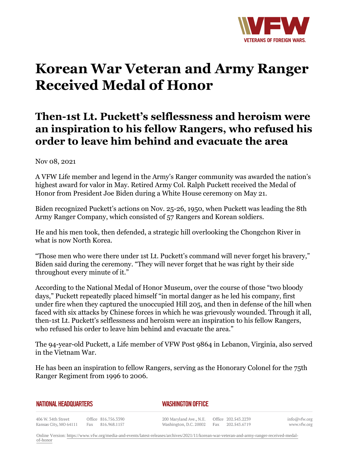

## **Korean War Veteran and Army Ranger Received Medal of Honor**

## **Then-1st Lt. Puckett's selflessness and heroism were an inspiration to his fellow Rangers, who refused his order to leave him behind and evacuate the area**

Nov 08, 2021

A VFW Life member and legend in the Army's Ranger community was awarded the nation's highest award for valor in May. Retired Army Col. Ralph Puckett received the Medal of Honor from President Joe Biden during a White House ceremony on May 21.

Biden recognized Puckett's actions on Nov. 25-26, 1950, when Puckett was leading the 8th Army Ranger Company, which consisted of 57 Rangers and Korean soldiers.

He and his men took, then defended, a strategic hill overlooking the Chongchon River in what is now North Korea.

"Those men who were there under 1st Lt. Puckett's command will never forget his bravery," Biden said during the ceremony. "They will never forget that he was right by their side throughout every minute of it."

According to the National Medal of Honor Museum, over the course of those "two bloody days," Puckett repeatedly placed himself "in mortal danger as he led his company, first under fire when they captured the unoccupied Hill 205, and then in defense of the hill when faced with six attacks by Chinese forces in which he was grievously wounded. Through it all, then-1st Lt. Puckett's selflessness and heroism were an inspiration to his fellow Rangers, who refused his order to leave him behind and evacuate the area."

The 94-year-old Puckett, a Life member of VFW Post 9864 in Lebanon, Virginia, also served in the Vietnam War.

He has been an inspiration to fellow Rangers, serving as the Honorary Colonel for the 75th Ranger Regiment from 1996 to 2006.

*WASHINGTON OFFICE* 

406 W. 34th Street Office 816.756.3390 Fax 816.968.1157 Kansas City, MO 64111

200 Maryland Ave., N.E. Washington, D.C. 20002 Fax

Office 202.543.2239 202.543.6719

info@vfw.org www.vfw.org

Online Version: [https://www.vfw.org/media-and-events/latest-releases/archives/2021/11/korean-war-veteran-and-army-ranger-received-medal](https://www.vfw.org/media-and-events/latest-releases/archives/2021/11/korean-war-veteran-and-army-ranger-received-medal-of-honor)[of-honor](https://www.vfw.org/media-and-events/latest-releases/archives/2021/11/korean-war-veteran-and-army-ranger-received-medal-of-honor)